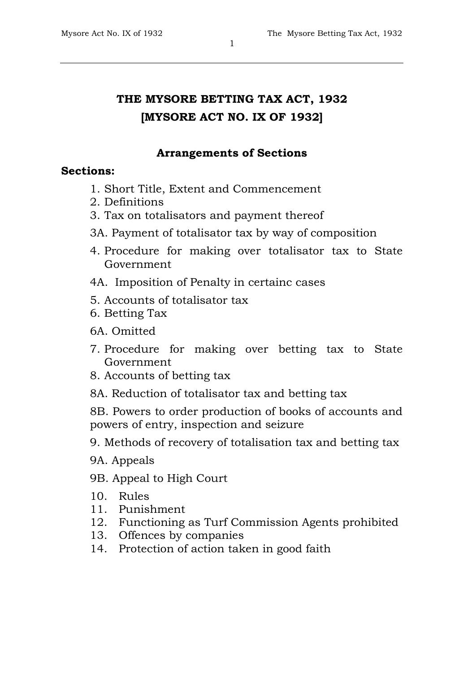# **THE MYSORE BETTING TAX ACT, 1932 [MYSORE ACT NO. IX OF 1932]**

# **Arrangements of Sections**

# **Sections:**

- 1. Short Title, Extent and Commencement
- 2. Definitions
- 3. Tax on totalisators and payment thereof
- 3A. Payment of totalisator tax by way of composition
- 4. Procedure for making over totalisator tax to State Government
- 4A. Imposition of Penalty in certainc cases
- 5. Accounts of totalisator tax
- 6. Betting Tax

6A. Omitted

- 7. Procedure for making over betting tax to State Government
- 8. Accounts of betting tax
- 8A. Reduction of totalisator tax and betting tax

8B. Powers to order production of books of accounts and powers of entry, inspection and seizure

- 9. Methods of recovery of totalisation tax and betting tax
- 9A. Appeals
- 9B. Appeal to High Court
- 10. Rules
- 11. Punishment
- 12. Functioning as Turf Commission Agents prohibited
- 13. Offences by companies
- 14. Protection of action taken in good faith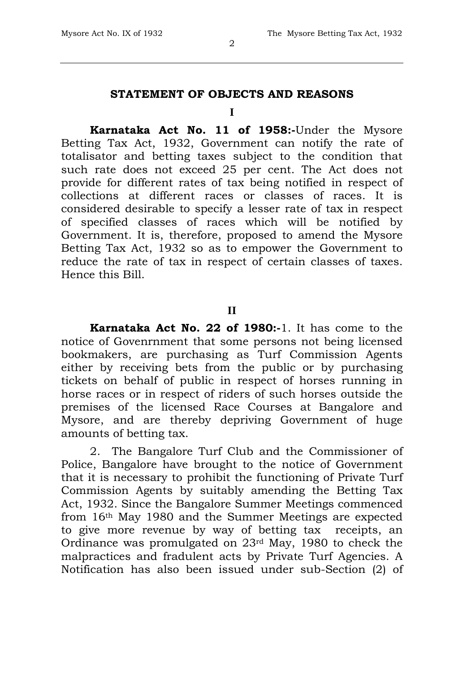# **STATEMENT OF OBJECTS AND REASONS**

#### **I**

**Karnataka Act No. 11 of 1958:-**Under the Mysore Betting Tax Act, 1932, Government can notify the rate of totalisator and betting taxes subject to the condition that such rate does not exceed 25 per cent. The Act does not provide for different rates of tax being notified in respect of collections at different races or classes of races. It is considered desirable to specify a lesser rate of tax in respect of specified classes of races which will be notified by Government. It is, therefore, proposed to amend the Mysore Betting Tax Act, 1932 so as to empower the Government to reduce the rate of tax in respect of certain classes of taxes. Hence this Bill.

### **II**

**Karnataka Act No. 22 of 1980:-**1. It has come to the notice of Govenrnment that some persons not being licensed bookmakers, are purchasing as Turf Commission Agents either by receiving bets from the public or by purchasing tickets on behalf of public in respect of horses running in horse races or in respect of riders of such horses outside the premises of the licensed Race Courses at Bangalore and Mysore, and are thereby depriving Government of huge amounts of betting tax.

2. The Bangalore Turf Club and the Commissioner of Police, Bangalore have brought to the notice of Government that it is necessary to prohibit the functioning of Private Turf Commission Agents by suitably amending the Betting Tax Act, 1932. Since the Bangalore Summer Meetings commenced from 16th May 1980 and the Summer Meetings are expected to give more revenue by way of betting tax receipts, an Ordinance was promulgated on 23rd May, 1980 to check the malpractices and fradulent acts by Private Turf Agencies. A Notification has also been issued under sub-Section (2) of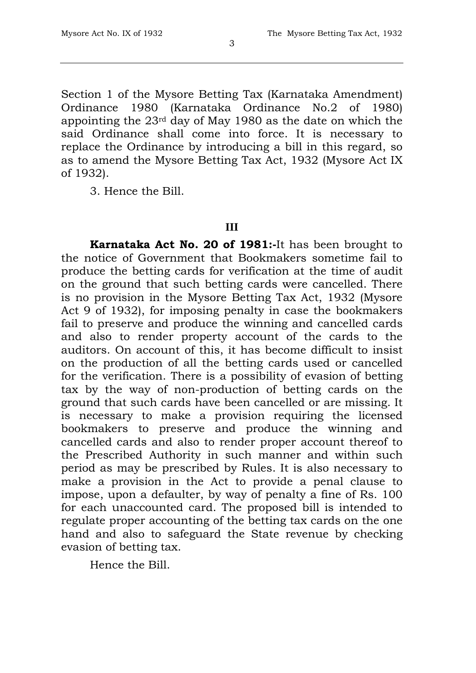Section 1 of the Mysore Betting Tax (Karnataka Amendment) Ordinance 1980 (Karnataka Ordinance No.2 of 1980) appointing the 23rd day of May 1980 as the date on which the said Ordinance shall come into force. It is necessary to replace the Ordinance by introducing a bill in this regard, so as to amend the Mysore Betting Tax Act, 1932 (Mysore Act IX of 1932).

3. Hence the Bill.

### **III**

**Karnataka Act No. 20 of 1981:-**It has been brought to the notice of Government that Bookmakers sometime fail to produce the betting cards for verification at the time of audit on the ground that such betting cards were cancelled. There is no provision in the Mysore Betting Tax Act, 1932 (Mysore Act 9 of 1932), for imposing penalty in case the bookmakers fail to preserve and produce the winning and cancelled cards and also to render property account of the cards to the auditors. On account of this, it has become difficult to insist on the production of all the betting cards used or cancelled for the verification. There is a possibility of evasion of betting tax by the way of non-production of betting cards on the ground that such cards have been cancelled or are missing. It is necessary to make a provision requiring the licensed bookmakers to preserve and produce the winning and cancelled cards and also to render proper account thereof to the Prescribed Authority in such manner and within such period as may be prescribed by Rules. It is also necessary to make a provision in the Act to provide a penal clause to impose, upon a defaulter, by way of penalty a fine of Rs. 100 for each unaccounted card. The proposed bill is intended to regulate proper accounting of the betting tax cards on the one hand and also to safeguard the State revenue by checking evasion of betting tax.

Hence the Bill.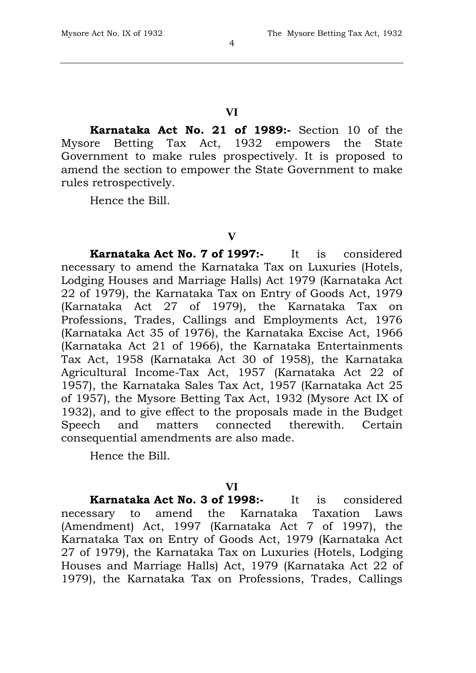#### **VI**

**Karnataka Act No. 21 of 1989:-** Section 10 of the Mysore Betting Tax Act, 1932 empowers the State Government to make rules prospectively. It is proposed to amend the section to empower the State Government to make rules retrospectively.

Hence the Bill.

#### **V**

**Karnataka Act No. 7 of 1997:-** It is considered necessary to amend the Karnataka Tax on Luxuries (Hotels, Lodging Houses and Marriage Halls) Act 1979 (Karnataka Act 22 of 1979), the Karnataka Tax on Entry of Goods Act, 1979 (Karnataka Act 27 of 1979), the Karnataka Tax on Professions, Trades, Callings and Employments Act, 1976 (Karnataka Act 35 of 1976), the Karnataka Excise Act, 1966 (Karnataka Act 21 of 1966), the Karnataka Entertainments Tax Act, 1958 (Karnataka Act 30 of 1958), the Karnataka Agricultural Income-Tax Act, 1957 (Karnataka Act 22 of 1957), the Karnataka Sales Tax Act, 1957 (Karnataka Act 25 of 1957), the Mysore Betting Tax Act, 1932 (Mysore Act IX of 1932), and to give effect to the proposals made in the Budget Speech and matters connected therewith. Certain consequential amendments are also made.

Hence the Bill.

### **VI**

**Karnataka Act No. 3 of 1998:-** It is considered necessary to amend the Karnataka Taxation Laws (Amendment) Act, 1997 (Karnataka Act 7 of 1997), the Karnataka Tax on Entry of Goods Act, 1979 (Karnataka Act 27 of 1979), the Karnataka Tax on Luxuries (Hotels, Lodging Houses and Marriage Halls) Act, 1979 (Karnataka Act 22 of 1979), the Karnataka Tax on Professions, Trades, Callings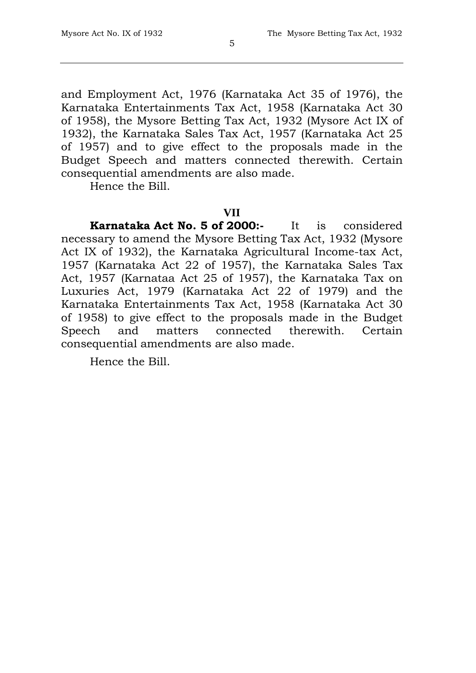and Employment Act, 1976 (Karnataka Act 35 of 1976), the Karnataka Entertainments Tax Act, 1958 (Karnataka Act 30 of 1958), the Mysore Betting Tax Act, 1932 (Mysore Act IX of 1932), the Karnataka Sales Tax Act, 1957 (Karnataka Act 25 of 1957) and to give effect to the proposals made in the Budget Speech and matters connected therewith. Certain consequential amendments are also made.

Hence the Bill.

### **VII**

**Karnataka Act No. 5 of 2000:-** It is considered necessary to amend the Mysore Betting Tax Act, 1932 (Mysore Act IX of 1932), the Karnataka Agricultural Income-tax Act, 1957 (Karnataka Act 22 of 1957), the Karnataka Sales Tax Act, 1957 (Karnataa Act 25 of 1957), the Karnataka Tax on Luxuries Act, 1979 (Karnataka Act 22 of 1979) and the Karnataka Entertainments Tax Act, 1958 (Karnataka Act 30 of 1958) to give effect to the proposals made in the Budget Speech and matters connected therewith. Certain consequential amendments are also made.

Hence the Bill.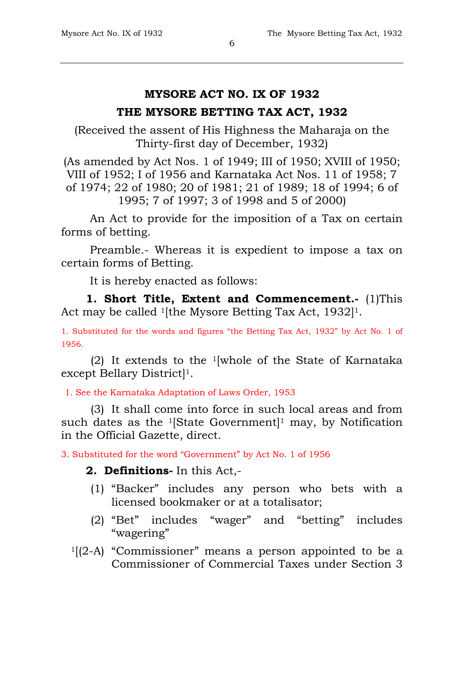# **MYSORE ACT NO. IX OF 1932**

# **THE MYSORE BETTING TAX ACT, 1932**

(Received the assent of His Highness the Maharaja on the Thirty-first day of December, 1932)

(As amended by Act Nos. 1 of 1949; III of 1950; XVIII of 1950; VIII of 1952; I of 1956 and Karnataka Act Nos. 11 of 1958; 7 of 1974; 22 of 1980; 20 of 1981; 21 of 1989; 18 of 1994; 6 of 1995; 7 of 1997; 3 of 1998 and 5 of 2000)

An Act to provide for the imposition of a Tax on certain forms of betting.

Preamble.- Whereas it is expedient to impose a tax on certain forms of Betting.

It is hereby enacted as follows:

**1. Short Title, Extent and Commencement.** (1)This Act may be called <sup>1</sup>[the Mysore Betting Tax Act, 1932]<sup>1</sup>.

1. Substituted for the words and figures "the Betting Tax Act, 1932" by Act No. 1 of 1956.

(2) It extends to the 1[whole of the State of Karnataka except Bellary District]1.

1. See the Karnataka Adaptation of Laws Order, 1953

(3) It shall come into force in such local areas and from such dates as the  $1$ [State Government]<sup>1</sup> may, by Notification in the Official Gazette, direct.

3. Substituted for the word "Government" by Act No. 1 of 1956

# **2. Definitions-** In this Act,-

- (1) "Backer" includes any person who bets with a licensed bookmaker or at a totalisator;
- (2) "Bet" includes "wager" and "betting" includes "wagering"
- $1[(2-A)$  "Commissioner" means a person appointed to be a Commissioner of Commercial Taxes under Section 3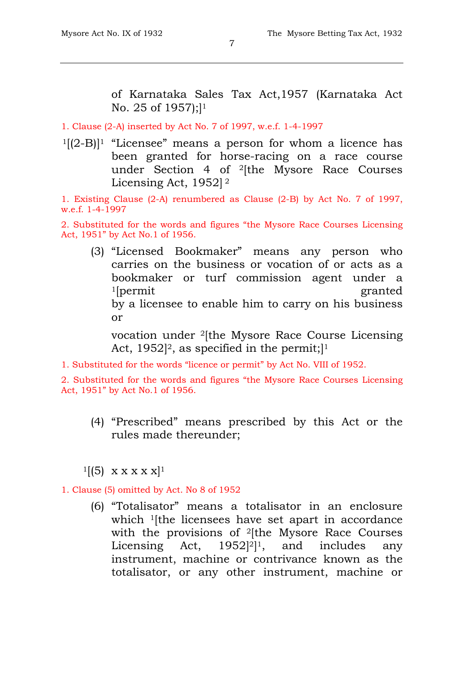of Karnataka Sales Tax Act,1957 (Karnataka Act No. 25 of 1957);<sup>1</sup>

1. Clause (2-A) inserted by Act No. 7 of 1997, w.e.f. 1-4-1997

 $1[(2-B)]$ <sup>1</sup> "Licensee" means a person for whom a licence has been granted for horse-racing on a race course under Section 4 of 2[the Mysore Race Courses Licensing Act, 1952] <sup>2</sup>

1. Existing Clause (2-A) renumbered as Clause (2-B) by Act No. 7 of 1997, w.e.f. 1-4-1997

2. Substituted for the words and figures "the Mysore Race Courses Licensing Act, 1951" by Act No.1 of 1956.

(3) "Licensed Bookmaker" means any person who carries on the business or vocation of or acts as a bookmaker or turf commission agent under a <sup>1</sup>[permit granted] by a licensee to enable him to carry on his business or

vocation under 2[the Mysore Race Course Licensing Act,  $1952$ <sup>2</sup>, as specified in the permit;<sup>11</sup>

1. Substituted for the words "licence or permit" by Act No. VIII of 1952.

2. Substituted for the words and figures "the Mysore Race Courses Licensing Act, 1951" by Act No.1 of 1956.

(4) "Prescribed" means prescribed by this Act or the rules made thereunder;

 $1[(5) \times x \times x \times x]$ 

### 1. Clause (5) omitted by Act. No 8 of 1952

(6) "Totalisator" means a totalisator in an enclosure which <sup>1</sup>[the licensees have set apart in accordance with the provisions of <sup>2</sup>[the Mysore Race Courses Licensing Act, 1952<sup>[2]</sup><sup>1</sup>, and includes any instrument, machine or contrivance known as the totalisator, or any other instrument, machine or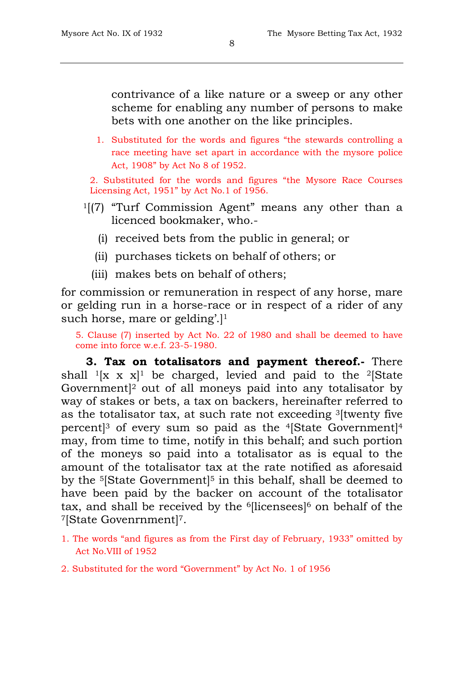contrivance of a like nature or a sweep or any other scheme for enabling any number of persons to make bets with one another on the like principles.

1. Substituted for the words and figures "the stewards controlling a race meeting have set apart in accordance with the mysore police Act, 1908" by Act No 8 of 1952.

2. Substituted for the words and figures "the Mysore Race Courses Licensing Act, 1951" by Act No.1 of 1956.

- 1[(7) "Turf Commission Agent" means any other than a licenced bookmaker, who.-
	- (i) received bets from the public in general; or
	- (ii) purchases tickets on behalf of others; or
	- (iii) makes bets on behalf of others;

for commission or remuneration in respect of any horse, mare or gelding run in a horse-race or in respect of a rider of any such horse, mare or gelding'.

5. Clause (7) inserted by Act No. 22 of 1980 and shall be deemed to have come into force w.e.f. 23-5-1980.

**3. Tax on totalisators and payment thereof.-** There shall  $\frac{1}{x}$  x x $\frac{1}{y}$  be charged, levied and paid to the <sup>2</sup>[State Government]2 out of all moneys paid into any totalisator by way of stakes or bets, a tax on backers, hereinafter referred to as the totalisator tax, at such rate not exceeding 3[twenty five percent<sup>3</sup> of every sum so paid as the <sup>4</sup>[State Government<sup>14</sup>] may, from time to time, notify in this behalf; and such portion of the moneys so paid into a totalisator as is equal to the amount of the totalisator tax at the rate notified as aforesaid by the <sup>5</sup>[State Government]<sup>5</sup> in this behalf, shall be deemed to have been paid by the backer on account of the totalisator tax, and shall be received by the <sup>6</sup>[licensees]<sup>6</sup> on behalf of the 7[State Govenrnment]7.

- 1. The words "and figures as from the First day of February, 1933" omitted by Act No.VIII of 1952
- 2. Substituted for the word "Government" by Act No. 1 of 1956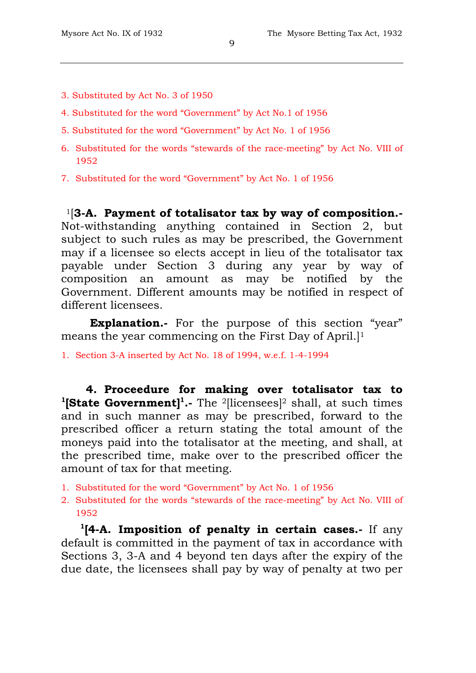- 3. Substituted by Act No. 3 of 1950
- 4. Substituted for the word "Government" by Act No.1 of 1956
- 5. Substituted for the word "Government" by Act No. 1 of 1956
- 6. Substituted for the words "stewards of the race-meeting" by Act No. VIII of 1952
- 7. Substituted for the word "Government" by Act No. 1 of 1956

1[**3-A. Payment of totalisator tax by way of composition.-** Not-withstanding anything contained in Section 2, but subject to such rules as may be prescribed, the Government may if a licensee so elects accept in lieu of the totalisator tax payable under Section 3 during any year by way of composition an amount as may be notified by the Government. Different amounts may be notified in respect of different licensees.

**Explanation.**- For the purpose of this section "year" means the year commencing on the First Day of April.]1

1. Section 3-A inserted by Act No. 18 of 1994, w.e.f. 1-4-1994

**4. Proceedure for making over totalisator tax to**  <sup>1</sup>[State Government]<sup>1</sup>.- The <sup>2</sup>[licensees]<sup>2</sup> shall, at such times and in such manner as may be prescribed, forward to the prescribed officer a return stating the total amount of the moneys paid into the totalisator at the meeting, and shall, at the prescribed time, make over to the prescribed officer the amount of tax for that meeting.

- 1. Substituted for the word "Government" by Act No. 1 of 1956
- 2. Substituted for the words "stewards of the race-meeting" by Act No. VIII of 1952

 **1[4-A. Imposition of penalty in certain cases.-** If any default is committed in the payment of tax in accordance with Sections 3, 3-A and 4 beyond ten days after the expiry of the due date, the licensees shall pay by way of penalty at two per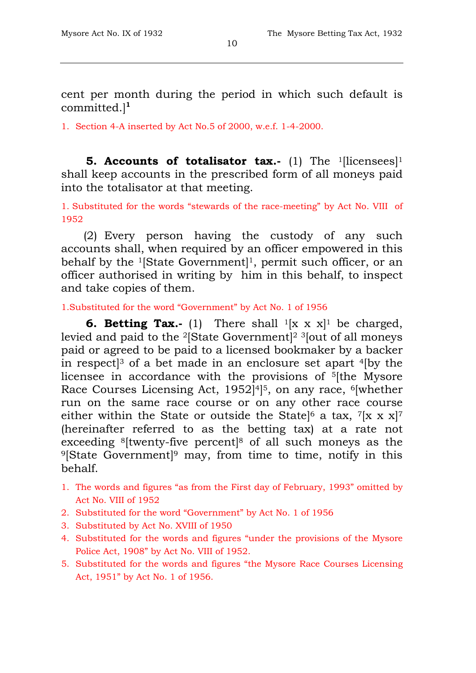cent per month during the period in which such default is committed.]**<sup>1</sup>**

1. Section 4-A inserted by Act No.5 of 2000, w.e.f. 1-4-2000.

**5. Accounts of totalisator tax.-** (1) The <sup>1</sup>[licensees]<sup>1</sup> shall keep accounts in the prescribed form of all moneys paid into the totalisator at that meeting.

1. Substituted for the words "stewards of the race-meeting" by Act No. VIII of 1952

(2) Every person having the custody of any such accounts shall, when required by an officer empowered in this behalf by the <sup>1</sup>[State Government<sup>]1</sup>, permit such officer, or an officer authorised in writing by him in this behalf, to inspect and take copies of them.

1.Substituted for the word "Government" by Act No. 1 of 1956

**6. Betting Tax.-** (1) There shall <sup>1</sup>[x x x]<sup>1</sup> be charged, levied and paid to the 2[State Government]2 3[out of all moneys paid or agreed to be paid to a licensed bookmaker by a backer in respect<sup>[3</sup> of a bet made in an enclosure set apart  $4$ [by the licensee in accordance with the provisions of 5[the Mysore Race Courses Licensing Act, 1952]4]5, on any race, 6[whether run on the same race course or on any other race course either within the State or outside the State<sup>[6</sup> a tax,  $7[x x x]$ <sup>7</sup> (hereinafter referred to as the betting tax) at a rate not exceeding 8[twenty-five percent]8 of all such moneys as the 9[State Government]9 may, from time to time, notify in this behalf.

- 1. The words and figures "as from the First day of February, 1993" omitted by Act No. VIII of 1952
- 2. Substituted for the word "Government" by Act No. 1 of 1956
- 3. Substituted by Act No. XVIII of 1950
- 4. Substituted for the words and figures "under the provisions of the Mysore Police Act, 1908" by Act No. VIII of 1952.
- 5. Substituted for the words and figures "the Mysore Race Courses Licensing Act, 1951" by Act No. 1 of 1956.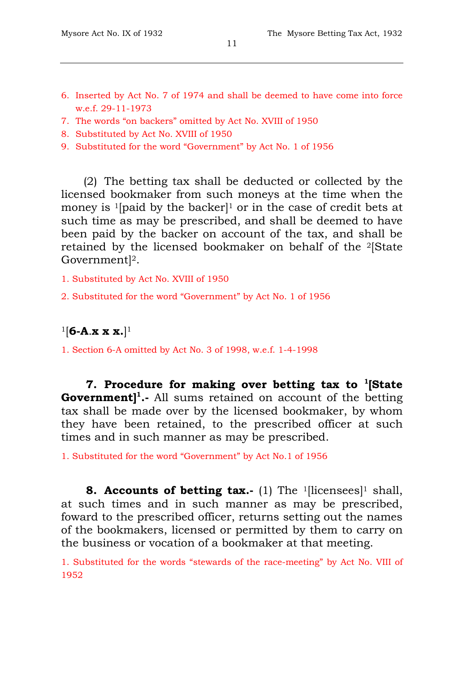- 6. Inserted by Act No. 7 of 1974 and shall be deemed to have come into force w.e.f. 29-11-1973
- 7. The words "on backers" omitted by Act No. XVIII of 1950
- 8. Substituted by Act No. XVIII of 1950
- 9. Substituted for the word "Government" by Act No. 1 of 1956

(2) The betting tax shall be deducted or collected by the licensed bookmaker from such moneys at the time when the money is <sup>1</sup>[paid by the backer]<sup>1</sup> or in the case of credit bets at such time as may be prescribed, and shall be deemed to have been paid by the backer on account of the tax, and shall be retained by the licensed bookmaker on behalf of the 2[State Government]2.

1. Substituted by Act No. XVIII of 1950

2. Substituted for the word "Government" by Act No. 1 of 1956

# 1[**6-A**.**x x x.**]1

1. Section 6-A omitted by Act No. 3 of 1998, w.e.f. 1-4-1998

**7. Procedure for making over betting tax to 1[State Government] 1.-** All sums retained on account of the betting tax shall be made over by the licensed bookmaker, by whom they have been retained, to the prescribed officer at such times and in such manner as may be prescribed.

1. Substituted for the word "Government" by Act No.1 of 1956

**8. Accounts of betting tax.-** (1) The <sup>1</sup>[licensees]<sup>1</sup> shall, at such times and in such manner as may be prescribed, foward to the prescribed officer, returns setting out the names of the bookmakers, licensed or permitted by them to carry on the business or vocation of a bookmaker at that meeting.

1. Substituted for the words "stewards of the race-meeting" by Act No. VIII of 1952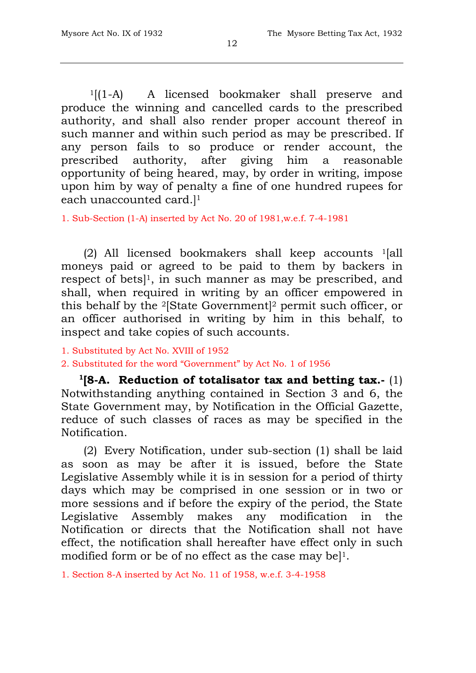$1[(1-A)$  A licensed bookmaker shall preserve and produce the winning and cancelled cards to the prescribed authority, and shall also render proper account thereof in such manner and within such period as may be prescribed. If any person fails to so produce or render account, the prescribed authority, after giving him a reasonable opportunity of being heared, may, by order in writing, impose upon him by way of penalty a fine of one hundred rupees for each unaccounted card.]1

1. Sub-Section (1-A) inserted by Act No. 20 of 1981,w.e.f. 7-4-1981

(2) All licensed bookmakers shall keep accounts 1[all moneys paid or agreed to be paid to them by backers in respect of bets]1, in such manner as may be prescribed, and shall, when required in writing by an officer empowered in this behalf by the 2[State Government]2 permit such officer, or an officer authorised in writing by him in this behalf, to inspect and take copies of such accounts.

- 1. Substituted by Act No. XVIII of 1952
- 2. Substituted for the word "Government" by Act No. 1 of 1956

 **1[8-A. Reduction of totalisator tax and betting tax.-** (1) Notwithstanding anything contained in Section 3 and 6, the State Government may, by Notification in the Official Gazette, reduce of such classes of races as may be specified in the Notification.

(2) Every Notification, under sub-section (1) shall be laid as soon as may be after it is issued, before the State Legislative Assembly while it is in session for a period of thirty days which may be comprised in one session or in two or more sessions and if before the expiry of the period, the State Legislative Assembly makes any modification in the Notification or directs that the Notification shall not have effect, the notification shall hereafter have effect only in such modified form or be of no effect as the case may be $]$ <sup>1</sup>.

1. Section 8-A inserted by Act No. 11 of 1958, w.e.f. 3-4-1958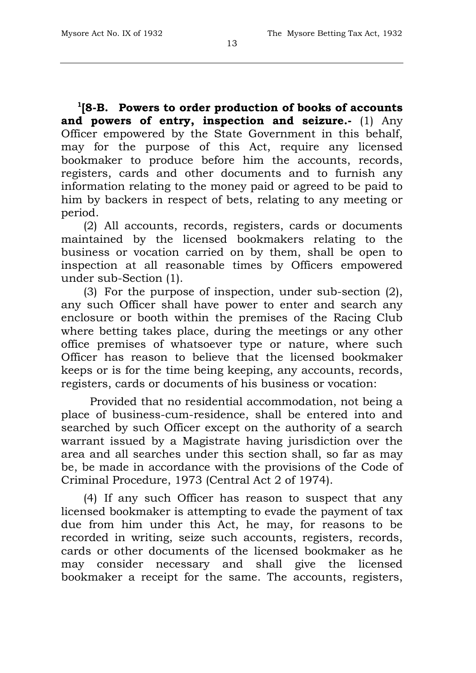**1[8-B. Powers to order production of books of accounts and powers of entry, inspection and seizure.-** (1) Any Officer empowered by the State Government in this behalf, may for the purpose of this Act, require any licensed bookmaker to produce before him the accounts, records, registers, cards and other documents and to furnish any information relating to the money paid or agreed to be paid to him by backers in respect of bets, relating to any meeting or period.

(2) All accounts, records, registers, cards or documents maintained by the licensed bookmakers relating to the business or vocation carried on by them, shall be open to inspection at all reasonable times by Officers empowered under sub-Section (1).

(3) For the purpose of inspection, under sub-section (2), any such Officer shall have power to enter and search any enclosure or booth within the premises of the Racing Club where betting takes place, during the meetings or any other office premises of whatsoever type or nature, where such Officer has reason to believe that the licensed bookmaker keeps or is for the time being keeping, any accounts, records, registers, cards or documents of his business or vocation:

Provided that no residential accommodation, not being a place of business-cum-residence, shall be entered into and searched by such Officer except on the authority of a search warrant issued by a Magistrate having jurisdiction over the area and all searches under this section shall, so far as may be, be made in accordance with the provisions of the Code of Criminal Procedure, 1973 (Central Act 2 of 1974).

(4) If any such Officer has reason to suspect that any licensed bookmaker is attempting to evade the payment of tax due from him under this Act, he may, for reasons to be recorded in writing, seize such accounts, registers, records, cards or other documents of the licensed bookmaker as he may consider necessary and shall give the licensed bookmaker a receipt for the same. The accounts, registers,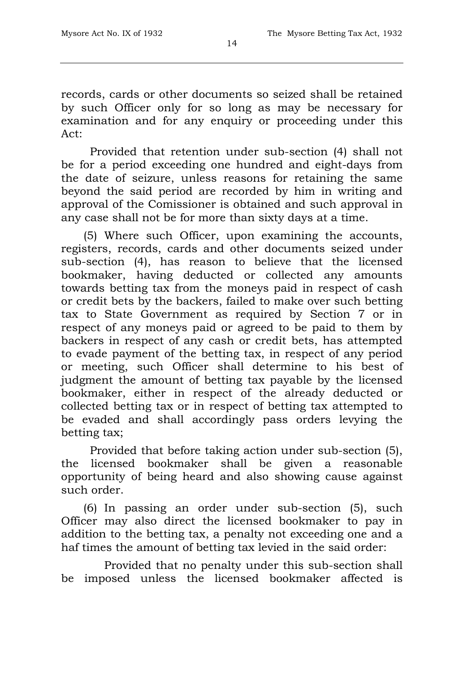records, cards or other documents so seized shall be retained by such Officer only for so long as may be necessary for examination and for any enquiry or proceeding under this Act:

Provided that retention under sub-section (4) shall not be for a period exceeding one hundred and eight-days from the date of seizure, unless reasons for retaining the same beyond the said period are recorded by him in writing and approval of the Comissioner is obtained and such approval in any case shall not be for more than sixty days at a time.

(5) Where such Officer, upon examining the accounts, registers, records, cards and other documents seized under sub-section (4), has reason to believe that the licensed bookmaker, having deducted or collected any amounts towards betting tax from the moneys paid in respect of cash or credit bets by the backers, failed to make over such betting tax to State Government as required by Section 7 or in respect of any moneys paid or agreed to be paid to them by backers in respect of any cash or credit bets, has attempted to evade payment of the betting tax, in respect of any period or meeting, such Officer shall determine to his best of judgment the amount of betting tax payable by the licensed bookmaker, either in respect of the already deducted or collected betting tax or in respect of betting tax attempted to be evaded and shall accordingly pass orders levying the betting tax;

Provided that before taking action under sub-section (5), the licensed bookmaker shall be given a reasonable opportunity of being heard and also showing cause against such order.

(6) In passing an order under sub-section (5), such Officer may also direct the licensed bookmaker to pay in addition to the betting tax, a penalty not exceeding one and a haf times the amount of betting tax levied in the said order:

Provided that no penalty under this sub-section shall be imposed unless the licensed bookmaker affected is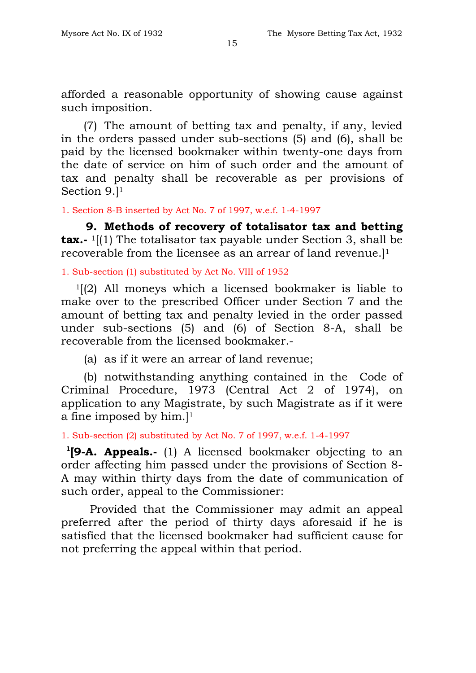afforded a reasonable opportunity of showing cause against such imposition.

(7) The amount of betting tax and penalty, if any, levied in the orders passed under sub-sections (5) and (6), shall be paid by the licensed bookmaker within twenty-one days from the date of service on him of such order and the amount of tax and penalty shall be recoverable as per provisions of Section 9.]1

1. Section 8-B inserted by Act No. 7 of 1997, w.e.f. 1-4-1997

**9. Methods of recovery of totalisator tax and betting tax.**- <sup>1</sup>[(1) The totalisator tax payable under Section 3, shall be recoverable from the licensee as an arrear of land revenue.]1

1. Sub-section (1) substituted by Act No. VIII of 1952

 $1(2)$  All moneys which a licensed bookmaker is liable to make over to the prescribed Officer under Section 7 and the amount of betting tax and penalty levied in the order passed under sub-sections (5) and (6) of Section 8-A, shall be recoverable from the licensed bookmaker.-

(a) as if it were an arrear of land revenue;

(b) notwithstanding anything contained in the Code of Criminal Procedure, 1973 (Central Act 2 of 1974), on application to any Magistrate, by such Magistrate as if it were a fine imposed by  $him.$ <sup>11</sup>

1. Sub-section (2) substituted by Act No. 7 of 1997, w.e.f. 1-4-1997

**1[9-A. Appeals.-** (1) A licensed bookmaker objecting to an order affecting him passed under the provisions of Section 8- A may within thirty days from the date of communication of such order, appeal to the Commissioner:

Provided that the Commissioner may admit an appeal preferred after the period of thirty days aforesaid if he is satisfied that the licensed bookmaker had sufficient cause for not preferring the appeal within that period.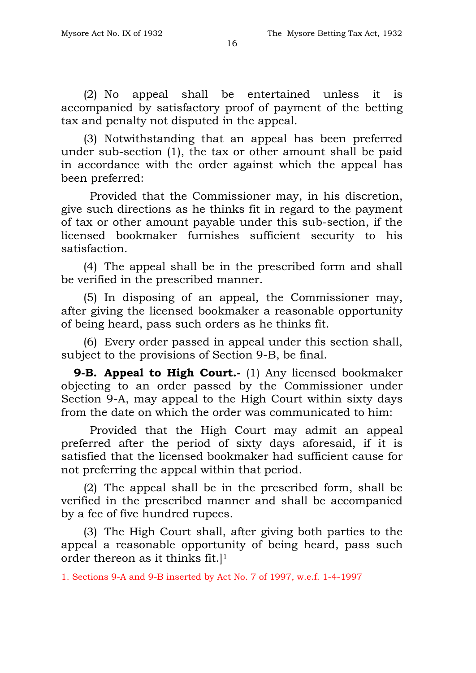(2) No appeal shall be entertained unless it is accompanied by satisfactory proof of payment of the betting tax and penalty not disputed in the appeal.

(3) Notwithstanding that an appeal has been preferred under sub-section (1), the tax or other amount shall be paid in accordance with the order against which the appeal has been preferred:

Provided that the Commissioner may, in his discretion, give such directions as he thinks fit in regard to the payment of tax or other amount payable under this sub-section, if the licensed bookmaker furnishes sufficient security to his satisfaction.

(4) The appeal shall be in the prescribed form and shall be verified in the prescribed manner.

(5) In disposing of an appeal, the Commissioner may, after giving the licensed bookmaker a reasonable opportunity of being heard, pass such orders as he thinks fit.

(6) Every order passed in appeal under this section shall, subject to the provisions of Section 9-B, be final.

**9-B. Appeal to High Court.-** (1) Any licensed bookmaker objecting to an order passed by the Commissioner under Section 9-A, may appeal to the High Court within sixty days from the date on which the order was communicated to him:

Provided that the High Court may admit an appeal preferred after the period of sixty days aforesaid, if it is satisfied that the licensed bookmaker had sufficient cause for not preferring the appeal within that period.

(2) The appeal shall be in the prescribed form, shall be verified in the prescribed manner and shall be accompanied by a fee of five hundred rupees.

(3) The High Court shall, after giving both parties to the appeal a reasonable opportunity of being heard, pass such order thereon as it thinks fit.]1

1. Sections 9-A and 9-B inserted by Act No. 7 of 1997, w.e.f. 1-4-1997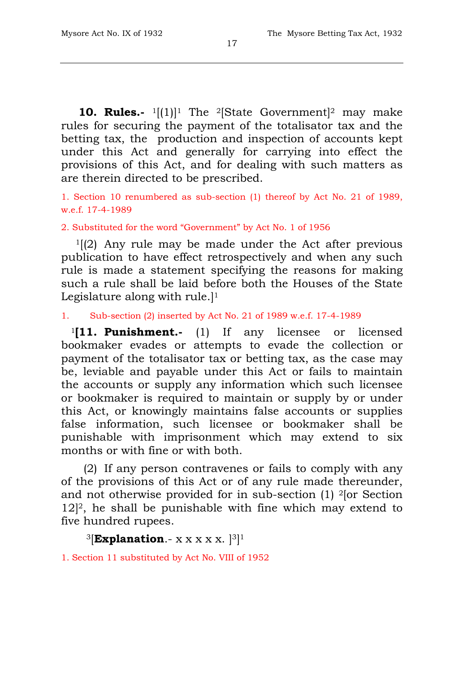**10. Rules.-** <sup>1</sup>[(1)]<sup>1</sup> The <sup>2</sup>[State Government]<sup>2</sup> may make rules for securing the payment of the totalisator tax and the betting tax, the production and inspection of accounts kept under this Act and generally for carrying into effect the provisions of this Act, and for dealing with such matters as are therein directed to be prescribed.

1. Section 10 renumbered as sub-section (1) thereof by Act No. 21 of 1989, w.e.f. 17-4-1989

2. Substituted for the word "Government" by Act No. 1 of 1956

 $1[(2)$  Any rule may be made under the Act after previous publication to have effect retrospectively and when any such rule is made a statement specifying the reasons for making such a rule shall be laid before both the Houses of the State Legislature along with rule.<sup>[1]</sup>

1. Sub-section (2) inserted by Act No. 21 of 1989 w.e.f. 17-4-1989

<sup>1</sup>**[11. Punishment.-** (1) If any licensee or licensed bookmaker evades or attempts to evade the collection or payment of the totalisator tax or betting tax, as the case may be, leviable and payable under this Act or fails to maintain the accounts or supply any information which such licensee or bookmaker is required to maintain or supply by or under this Act, or knowingly maintains false accounts or supplies false information, such licensee or bookmaker shall be punishable with imprisonment which may extend to six months or with fine or with both.

(2) If any person contravenes or fails to comply with any of the provisions of this Act or of any rule made thereunder, and not otherwise provided for in sub-section (1) 2[or Section  $12$ <sup>2</sup>, he shall be punishable with fine which may extend to five hundred rupees.

 $3$ [**Explanation**.- x x x x x.  $3$ ]<sup>1</sup>

1. Section 11 substituted by Act No. VIII of 1952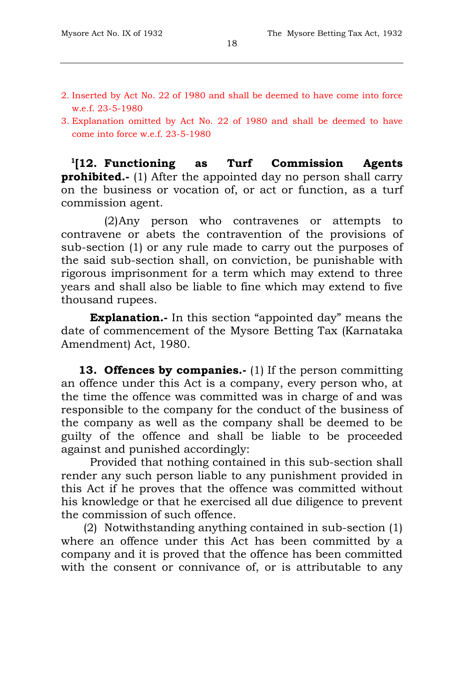- 2. Inserted by Act No. 22 of 1980 and shall be deemed to have come into force w.e.f. 23-5-1980
- 3. Explanation omitted by Act No. 22 of 1980 and shall be deemed to have come into force w.e.f. 23-5-1980

**1[12. Functioning as Turf Commission Agents prohibited.-** (1) After the appointed day no person shall carry on the business or vocation of, or act or function, as a turf commission agent.

(2)Any person who contravenes or attempts to contravene or abets the contravention of the provisions of sub-section (1) or any rule made to carry out the purposes of the said sub-section shall, on conviction, be punishable with rigorous imprisonment for a term which may extend to three years and shall also be liable to fine which may extend to five thousand rupees.

**Explanation.-** In this section "appointed day" means the date of commencement of the Mysore Betting Tax (Karnataka Amendment) Act, 1980.

**13. Offences by companies.-** (1) If the person committing an offence under this Act is a company, every person who, at the time the offence was committed was in charge of and was responsible to the company for the conduct of the business of the company as well as the company shall be deemed to be guilty of the offence and shall be liable to be proceeded against and punished accordingly:

Provided that nothing contained in this sub-section shall render any such person liable to any punishment provided in this Act if he proves that the offence was committed without his knowledge or that he exercised all due diligence to prevent the commission of such offence.

(2) Notwithstanding anything contained in sub-section (1) where an offence under this Act has been committed by a company and it is proved that the offence has been committed with the consent or connivance of, or is attributable to any